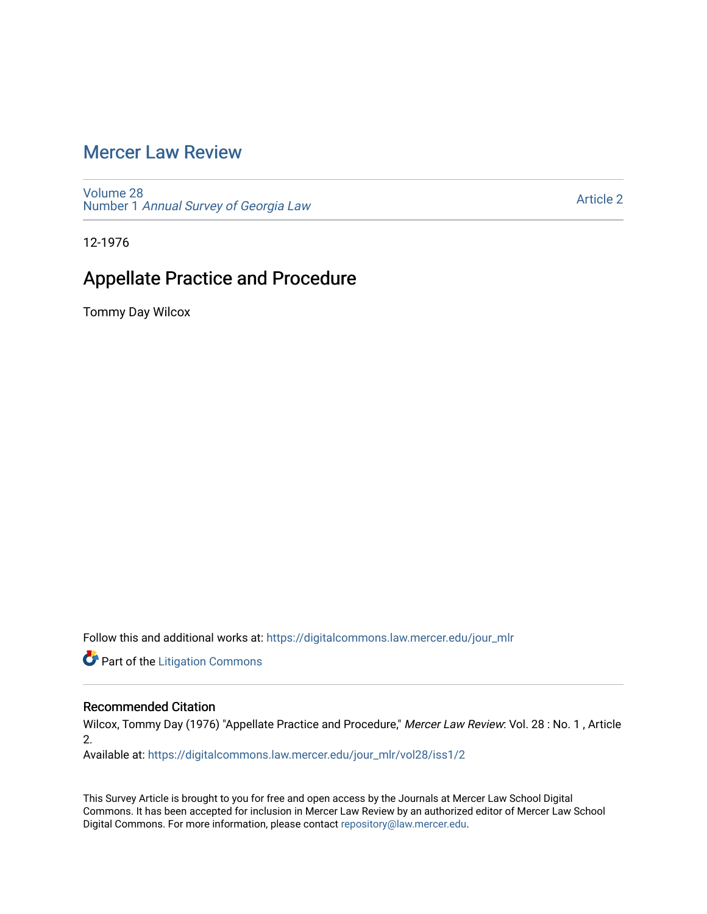# [Mercer Law Review](https://digitalcommons.law.mercer.edu/jour_mlr)

[Volume 28](https://digitalcommons.law.mercer.edu/jour_mlr/vol28) Number 1 [Annual Survey of Georgia Law](https://digitalcommons.law.mercer.edu/jour_mlr/vol28/iss1) 

[Article 2](https://digitalcommons.law.mercer.edu/jour_mlr/vol28/iss1/2) 

12-1976

# Appellate Practice and Procedure

Tommy Day Wilcox

Follow this and additional works at: [https://digitalcommons.law.mercer.edu/jour\\_mlr](https://digitalcommons.law.mercer.edu/jour_mlr?utm_source=digitalcommons.law.mercer.edu%2Fjour_mlr%2Fvol28%2Fiss1%2F2&utm_medium=PDF&utm_campaign=PDFCoverPages)

**Part of the [Litigation Commons](http://network.bepress.com/hgg/discipline/910?utm_source=digitalcommons.law.mercer.edu%2Fjour_mlr%2Fvol28%2Fiss1%2F2&utm_medium=PDF&utm_campaign=PDFCoverPages)** 

## Recommended Citation

Wilcox, Tommy Day (1976) "Appellate Practice and Procedure," Mercer Law Review: Vol. 28 : No. 1, Article 2.

Available at: [https://digitalcommons.law.mercer.edu/jour\\_mlr/vol28/iss1/2](https://digitalcommons.law.mercer.edu/jour_mlr/vol28/iss1/2?utm_source=digitalcommons.law.mercer.edu%2Fjour_mlr%2Fvol28%2Fiss1%2F2&utm_medium=PDF&utm_campaign=PDFCoverPages)

This Survey Article is brought to you for free and open access by the Journals at Mercer Law School Digital Commons. It has been accepted for inclusion in Mercer Law Review by an authorized editor of Mercer Law School Digital Commons. For more information, please contact [repository@law.mercer.edu](mailto:repository@law.mercer.edu).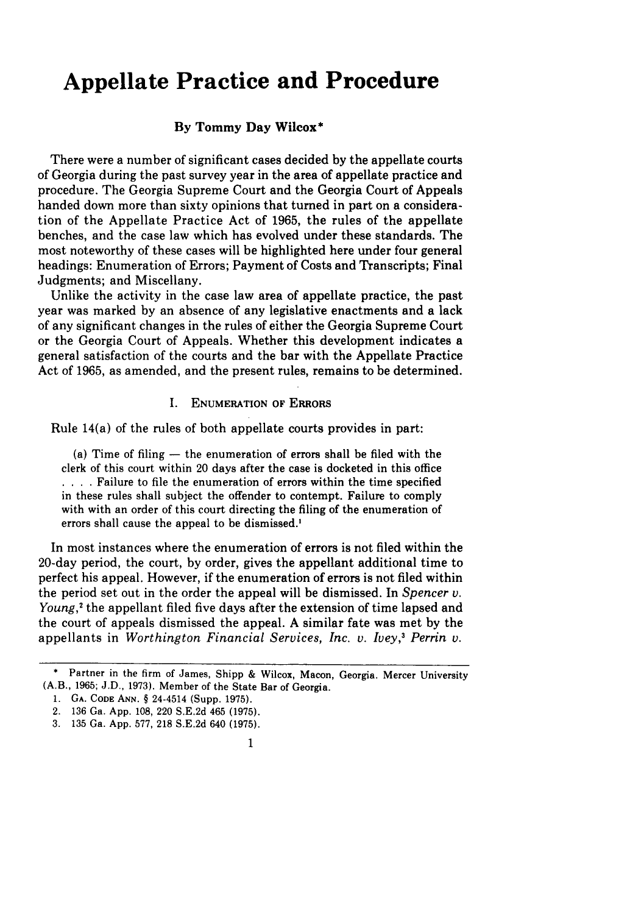# **Appellate Practice and Procedure**

### **By Tommy Day Wilcox\***

There were a number of significant cases decided by the appellate courts of Georgia during the past survey year in the area of appellate practice and procedure. The Georgia Supreme Court and the Georgia Court of Appeals handed down more than sixty opinions that turned in part on a consideration of the Appellate Practice Act of 1965, the rules of the appellate benches, and the case law which has evolved under these standards. The most noteworthy of these cases will be highlighted here under four general headings: Enumeration of Errors; Payment of Costs and Transcripts; Final Judgments; and Miscellany.

Unlike the activity in the case law area of appellate practice, the past year was marked by an absence of any legislative enactments and a lack of any significant changes in the rules of either the Georgia Supreme Court or the Georgia Court of Appeals. Whether this development indicates a general satisfaction of the courts and the bar with the Appellate Practice Act of 1965, as amended, and the present rules, remains to be determined.

#### **I. ENUMERATION OF ERRORS**

Rule 14(a) of the rules of both appellate courts provides in part:

(a) Time of filing **-** the enumeration of errors shall be filed with the clerk of this court within 20 days after the case is docketed in this office **... .** Failure to file the enumeration of errors within the time specified in these rules shall subject the offender to contempt. Failure to comply with with an order of this court directing the filing of the enumeration of errors shall cause the appeal to be dismissed.)

In most instances where the enumeration of errors is not filed within the 20-day period, the court, by order, gives the appellant additional time to perfect his appeal. However, if the enumeration of errors is not filed within the period set out in the order the appeal will be dismissed. In *Spencer v. Young,2* the appellant filed five days after the extension of time lapsed and the court of appeals dismissed the appeal. A similar fate was met by the appellants in *Worthington Financial Services, Inc. v. Ivey,3 Perrin v.*

<sup>\*</sup> Partner in the firm of James, Shipp & Wilcox, Macon, Georgia. Mercer University (A.B., 1965; J.D., 1973). Member of the State Bar of Georgia.

<sup>1.</sup> GA. CODE **ANN. §** 24-4514 (Supp. 1975).

<sup>2. 136</sup> Ga. App. 108, 220 S.E.2d 465 (1975).

<sup>3. 135</sup> Ga. App. 577, 218 S.E.2d 640 (1975).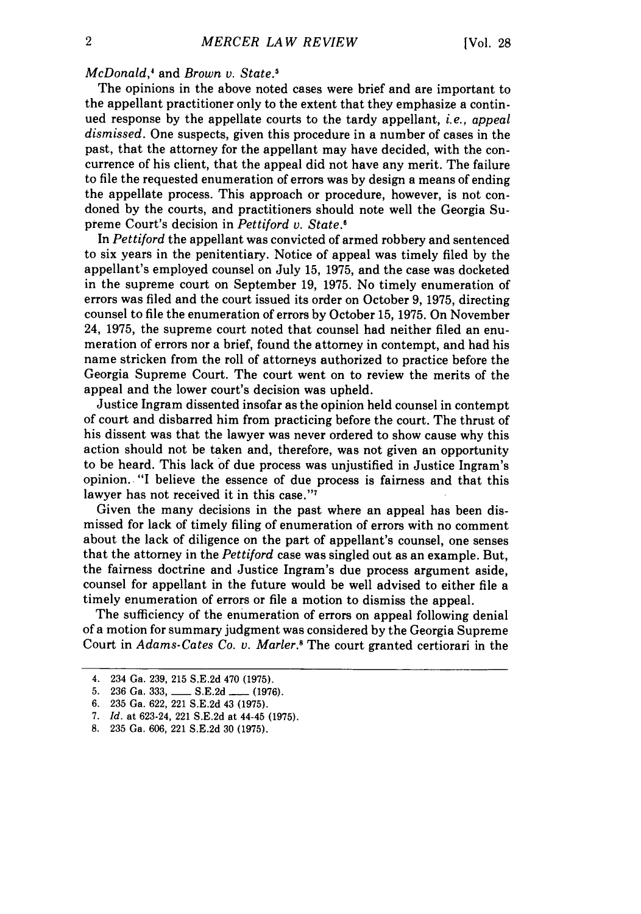#### *McDonald,'* and *Brown v. State.*

The opinions in the above noted cases were brief and are important to the appellant practitioner only to the extent that they emphasize a continued response by the appellate courts to the tardy appellant, *i.e., appeal dismissed.* One suspects, given this procedure in a number of cases in the past, that the attorney for the appellant may have decided, with the concurrence of his client, that the appeal did not have any merit. The failure to file the requested enumeration of errors was by design a means of ending the appellate process. This approach or procedure, however, is not condoned by the courts, and practitioners should note well the Georgia Supreme Court's decision in *Pettiford v. State.'*

In *Pettiford* the appellant was convicted of armed robbery and sentenced to six years in the penitentiary. Notice of appeal was timely filed by the appellant's employed counsel on July 15, 1975, and the case was docketed in the supreme court on September 19, 1975. No timely enumeration of errors was filed and the court issued its order on October 9, 1975, directing counsel to file the enumeration of errors by October 15, 1975. On November 24, 1975, the supreme court noted that counsel had neither filed an enumeration of errors nor a brief, found the attorney in contempt, and had his name stricken from the roll of attorneys authorized to practice before the Georgia Supreme Court. The court went on to review the merits of the appeal and the lower court's decision was upheld.

Justice Ingram dissented insofar as the opinion held counsel in contempt of court and disbarred him from practicing before the court. The thrust of his dissent was that the lawyer was never ordered to show cause why this action should not be taken and, therefore, was not given an opportunity to be heard. This lack of due process was unjustified in Justice Ingram's opinion. "I believe the essence of due process is fairness and that this lawyer has not received it in this case."7

Given the many decisions in the past where an appeal has been dismissed for lack of timely filing of enumeration of errors with no comment about the lack of diligence on the part of appellant's counsel, one senses that the attorney in the *Pettiford* case was singled out as an example. But, the fairness doctrine and Justice Ingram's due process argument aside, counsel for appellant in the future would be well advised to either file a timely enumeration of errors or file a motion to dismiss the appeal.

The sufficiency of the enumeration of errors on appeal following denial of a motion for summary judgment was considered by the Georgia Supreme Court in *Adams-Cates Co. v. Marler.8* The court granted certiorari in the

<sup>4. 234</sup> Ga. 239, 215 S.E.2d 470 (1975).

<sup>5. 236</sup> Ga. 333, **\_\_\_\_** S.E.2d **\_\_\_** (1976).

<sup>6. 235</sup> Ga. 622, 221 S.E.2d 43 (1975).

<sup>7.</sup> *Id.* at 623-24, 221 S.E.2d at 44-45 (1975).

<sup>8. 235</sup> Ga. 606, 221 S.E.2d 30 (1975).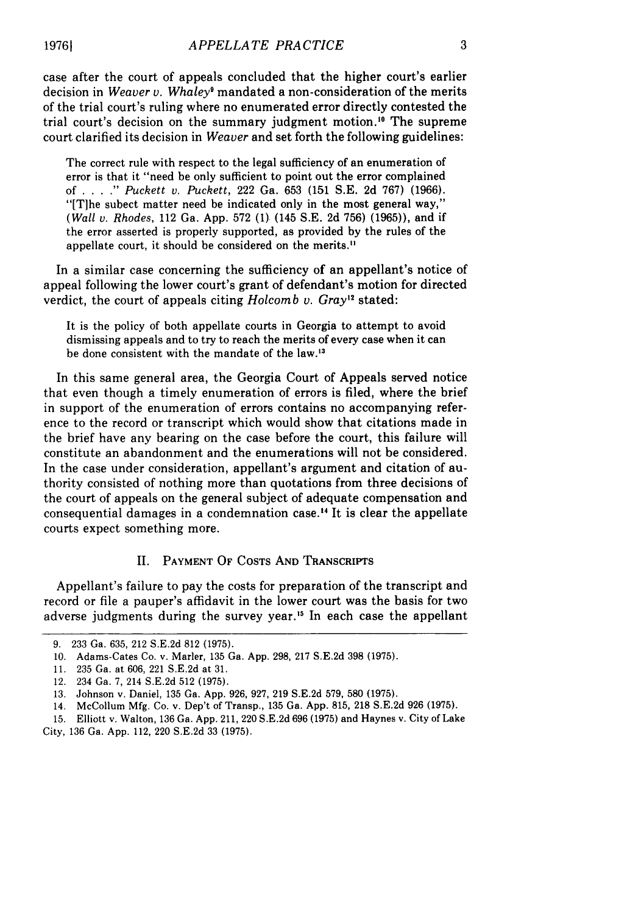case after the court of appeals concluded that the higher court's earlier decision in *Weaver v. Whaley9* mandated a non-consideration of the merits of the trial court's ruling where no enumerated error directly contested the trial court's decision on the summary judgment motion. " The supreme court clarified its decision in *Weaver* and set forth the following guidelines:

The correct rule with respect to the legal sufficiency of an enumeration of error is that it "need be only sufficient to point out the error complained of . **. . ."** *Puckett* v. Puckett, 222 Ga. 653 (151 S.E. 2d 767) (1966). "[Tihe subect matter need be indicated only in the most general way," *(Wall v. Rhodes,* 112 Ga. App. 572 (1) (145 S.E. 2d 756) (1965)), and if the error asserted is properly supported, as provided by the rules of the appellate court, it should be considered on the merits.<sup>11</sup>

In a similar case concerning the sufficiency of an appellant's notice of appeal following the lower court's grant of defendant's motion for directed verdict, the court of appeals citing *Holcomb v. Gray*<sup>12</sup> stated:

It is the policy of both appellate courts in Georgia to attempt to avoid dismissing appeals and to try to reach the merits of every case when it can be done consistent with the mandate of the law. <sup>13</sup>

In this same general area, the Georgia Court of Appeals served notice that even though a timely enumeration of errors is filed, where the brief in support of the enumeration of errors contains no accompanying reference to the record or transcript which would show that citations made in the brief have any bearing on the case before the court, this failure will constitute an abandonment and the enumerations will not be considered. In the case under consideration, appellant's argument and citation of authority consisted of nothing more than quotations from three decisions of the court of appeals on the general subject of adequate compensation and consequential damages in a condemnation case.<sup>14</sup> It is clear the appellate courts expect something more.

### II. PAYMENT OF COSTS AND TRANSCRIPTS

Appellant's failure to pay the costs for preparation of the transcript and record or file a pauper's affidavit in the lower court was the basis for two adverse judgments during the survey year.<sup>15</sup> In each case the appellant

<sup>9. 233</sup> Ga. 635, 212 S.E.2d 812 (1975).

<sup>10.</sup> Adams-Cates Co. v. Marler, 135 Ga. App. 298, 217 S.E.2d 398 (1975).

<sup>11. 235</sup> Ga. at 606, 221 S.E.2d at 31.

<sup>12. 234</sup> Ga. 7, 214 S.E.2d 512 (1975).

<sup>13.</sup> Johnson v. Daniel, 135 Ga. App. 926, 927, 219 S.E.2d 579, 580 (1975).

<sup>14.</sup> McCollum Mfg. Co. v. Dep't of Transp., 135 Ga. App. 815, 218 S.E.2d 926 (1975).

<sup>15.</sup> Elliott v. Walton, 136 Ga. App. 211, 220 S.E.2d 696 (1975) and Haynes v. City of Lake City, 136 Ga. App. 112, 220 S.E.2d 33 (1975).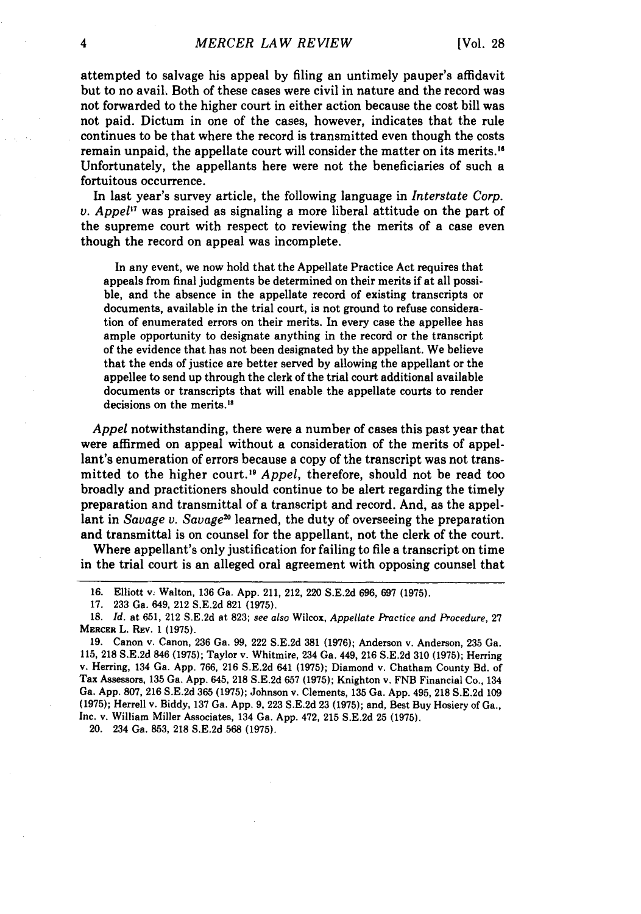attempted to salvage his appeal by filing an untimely pauper's affidavit but to no avail. Both of these cases were civil in nature and the record was not forwarded to the higher court in either action because the cost bill was not paid. Dictum in one of the cases, however, indicates that the rule continues to be that where the record is transmitted even though the costs remain unpaid, the appellate court will consider the matter on its merits.' Unfortunately, the appellants here were not the beneficiaries of such a fortuitous occurrence.

In last year's survey article, the following language in *Interstate Corp. v. Appel"* was praised as signaling a more liberal attitude on the part of the supreme court with respect to reviewing the merits of a case even though the record on appeal was incomplete.

In any event, we now hold that the Appellate Practice Act requires that appeals from final judgments be determined on their merits if at all possible, and the absence in the appellate record of existing transcripts or documents, available in the trial court, is not ground to refuse consideration of enumerated errors on their merits. In every case the appellee has ample opportunity to designate anything in the record or the transcript of the evidence that has not been designated **by** the appellant. We believe that the ends of justice are better served **by** allowing the appellant or the appellee to send up through the clerk of the trial court additional available documents or transcripts that will enable the appellate courts to render decisions on the merits.<sup>18</sup>

*Appel* notwithstanding, there were a number of cases this past year that were affirmed on appeal without a consideration of the merits of appellant's enumeration of errors because a copy of the transcript was not transmitted to the higher court." *Appel,* therefore, should not be read too broadly and practitioners should continue to be alert regarding the timely preparation and transmittal of a transcript and record. And, as the appellant in *Savage v. Savage*<sup>20</sup> learned, the duty of overseeing the preparation and transmittal is on counsel for the appellant, not the clerk of the court.

Where appellant's only justification for failing to file a transcript on time in the trial court is an alleged oral agreement with opposing counsel that

**17. 233** Ga. 649, 212 **S.E.2d 821 (1975).**

20. 234 Ga. **853, 218 S.E.2d 568 (1975).**

**<sup>16.</sup>** Elliott v. Walton, **136** Ga. **App.** 211, 212, 220 **S.E.2d 696, 697 (1975).**

**<sup>18.</sup>** *Id.* at **651,** 212 **S.E.2d** at **823;** *see also* Wilcox, *Appellate Practice and Procedure,* **27 MERCER** L. **REV. 1 (1975).**

**<sup>19.</sup>** Canon v. Canon, **236** Ga. **99,** 222 **S.E.2d 381 (1976);** Anderson v. Anderson, **235** Ga. **115, 218 S.E.2d** 846 **(1975);** Taylor v. Whitmire, 234 Ga. 449, **216 S.E.2d 310 (1975);** Herring v. Herring, 134 Ga. **App. 766, 216 S.E.2d** 641 **(1975);** Diamond v. Chatham County Bd. of Tax Assessors, **135** Ga. **App.** 645, **218 S.E.2d 657 (1975);** Knighton v. **FNB** Financial Co., 134 Ga. **App. 807, 216 S.E.2d 365 (1975);** Johnson v. Clements, **135** Ga. **App.** 495, 218 **S.E.2d 109 (1975);** Herrell v. Biddy, **137** Ga. **App. 9, 223 S.E.2d 23 (1975);** and, Best Buy Hosiery of Ga., Inc. v. William Miller Associates, 134 Ga. **App.** 472, **215 S.E.2d 25 (1975).**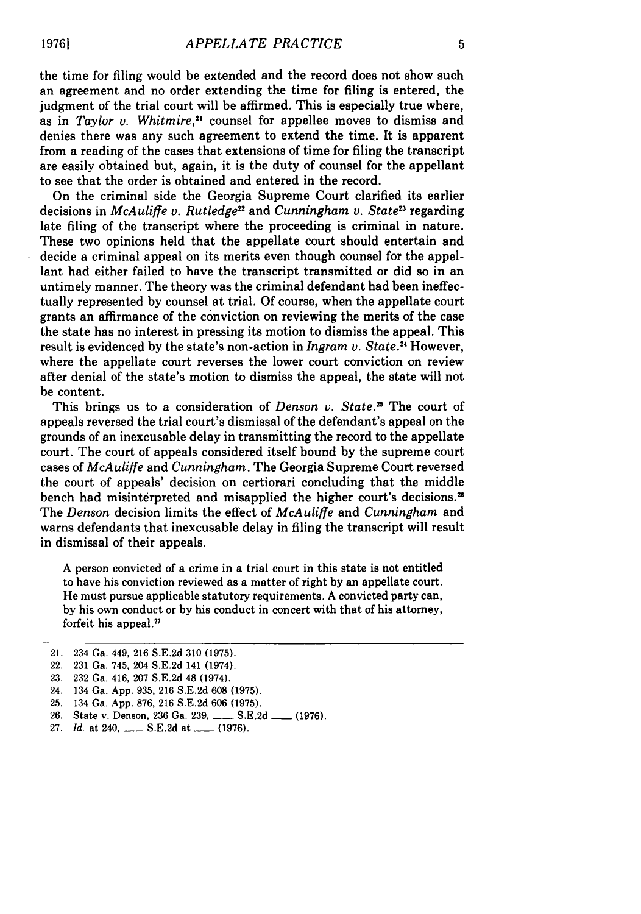the time for filing would be extended and the record does not show such an agreement and no order extending the time for filing is entered, the judgment of the trial court will be affirmed. This is especially true where, as in *Taylor v. Whitmire,2'* counsel for appellee moves to dismiss and denies there was any such agreement to extend the time. It is apparent from a reading of the cases that extensions of time for filing the transcript are easily obtained but, again, it is the duty of counsel for the appellant to see that the order is obtained and entered in the record.

On the criminal side the Georgia Supreme Court clarified its earlier decisions in *McAuliffe v. Rutledge"* and *Cunningham v. State23* regarding late filing of the transcript where the proceeding is criminal in nature. These two opinions held that the appellate court should entertain and decide a criminal appeal on its merits even though counsel for the appellant had either failed to have the transcript transmitted or did so in an untimely manner. The theory was the criminal defendant had been ineffectually represented by counsel at trial. Of course, when the appellate court grants an affirmance of the conviction on reviewing the merits of the case the state has no interest in pressing its motion to dismiss the appeal. This result is evidenced by the state's non-action in *Ingram v. State.'* However, where the appellate court reverses the lower court conviction on review after denial of the state's motion to dismiss the appeal, the state will not be content.

This brings us to a consideration of *Denson v. State*.<sup>25</sup> The court of appeals reversed the trial court's dismissal of the defendant's appeal on the grounds of an inexcusable delay in transmitting the record to the appellate court. The court of appeals considered itself bound by the supreme court cases of *McAuliffe* and *Cunningham.* The Georgia Supreme Court reversed the court of appeals' decision on certiorari concluding that the middle bench had misinterpreted and misapplied the higher court's decisions.<sup>26</sup> The *Denson* decision limits the effect of *McAuliffe* and *Cunningham* and warns defendants that inexcusable delay in filing the transcript will result in dismissal of their appeals.

A person convicted of a crime in a trial court in this state is not entitled to have his conviction reviewed as a matter of right by an appellate court. He must pursue applicable statutory requirements. A convicted party can, by his own conduct or by his conduct in concert with that of his attorney, forfeit his appeal. $27$ 

- 26. State v. Denson, 236 Ga. 239, **\_\_\_\_** S.E.2d **\_\_\_** (1976).
- 27. *Id.* at 240, \_\_\_\_ S.E.2d at \_\_\_\_ (1976).

<sup>21. 234</sup> Ga. 449, 216 S.E.2d 310 (1975).

<sup>22. 231</sup> Ga. 745, 204 S.E.2d 141 (1974).

<sup>23. 232</sup> Ga. 416, 207 S.E.2d 48 (1974).

<sup>24. 134</sup> Ga. App. 935, 216 S.E.2d 608 (1975).

<sup>25. 134</sup> Ga. App. 876, 216 S.E.2d 606 **(1975).**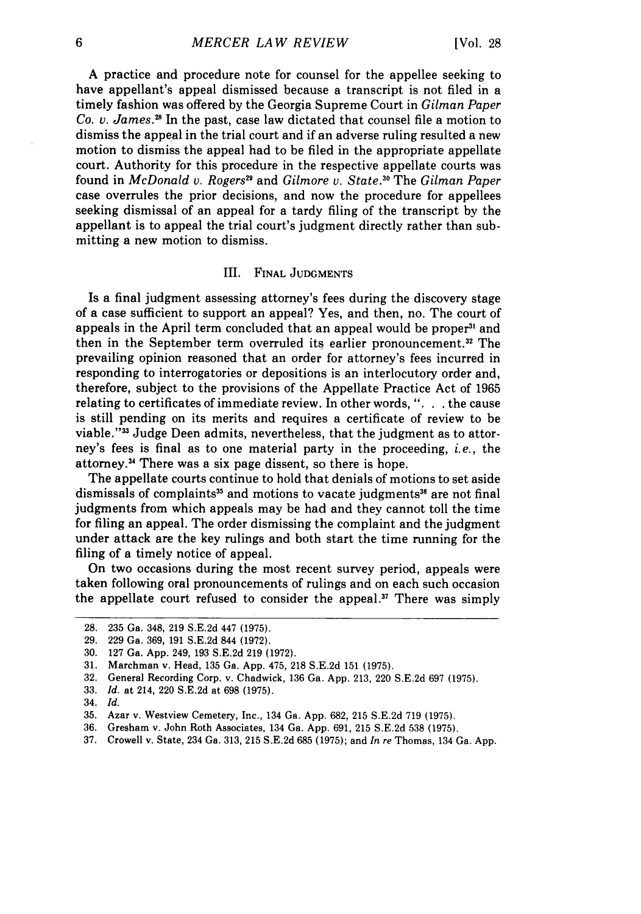A practice and procedure note for counsel for the appellee seeking to have appellant's appeal dismissed because a transcript is not filed in a timely fashion was offered by the Georgia Supreme Court in *Gilman Paper Co. v. James.2* In the past, case law dictated that counsel file a motion to dismiss the appeal in the trial court and if an adverse ruling resulted a new motion to dismiss the appeal had to be filed in the appropriate appellate court. Authority for this procedure in the respective appellate courts was found in *McDonald v. Rogers29* and *Gilmore v. State.3 <sup>0</sup>*The *Gilman Paper* case overrules the prior decisions, and now the procedure for appellees seeking dismissal of an appeal for a tardy filing of the transcript by the appellant is to appeal the trial court's judgment directly rather than submitting a new motion to dismiss.

#### III. FINAL JUDGMENTS

Is a final judgment assessing attorney's fees during the discovery stage of a case sufficient to support an appeal? Yes, and then, no. The court of appeals in the April term concluded that an appeal would be proper<sup>31</sup> and then in the September term overruled its earlier pronouncement.32 The prevailing opinion reasoned that an order for attorney's fees incurred in responding to interrogatories or depositions is an interlocutory order and, therefore, subject to the provisions of the Appellate Practice Act of 1965 relating to certificates of immediate review. In other words, ". **.** . the cause is still pending on its merits and requires a certificate of review to be viable."<sup>33</sup> Judge Deen admits, nevertheless, that the judgment as to attorney's fees is final as to one material party in the proceeding, *i.e.,* the attorney.<sup>34</sup> There was a six page dissent, so there is hope.

The appellate courts continue to hold that denials of motions to set aside dismissals of complaints<sup>35</sup> and motions to vacate judgments<sup>36</sup> are not final judgments from which appeals may be had and they cannot toll the time for filing an appeal. The order dismissing the complaint and the judgment under attack are the key rulings and both start the time running for the filing of a timely notice of appeal.

On two occasions during the most recent survey period, appeals were taken following oral pronouncements of rulings and on each such occasion the appellate court refused to consider the appeal. $37$  There was simply

<sup>28. 235</sup> Ga. 348, 219 S.E.2d 447 (1975).

<sup>29. 229</sup> Ga. 369, 191 S.E.2d 844 (1972).

<sup>30. 127</sup> Ga. App. 249, 193 S.E.2d 219 (1972).

<sup>31.</sup> Marchman v. Head, 135 Ga. App. 475, 218 S.E.2d 151 (1975).

<sup>32.</sup> General Recording Corp. v. Chadwick, 136 Ga. App. 213, 220 S.E.2d 697 (1975).

<sup>33.</sup> *Id.* at 214, 220 S.E.2d at 698 (1975).

<sup>34.</sup> *Id.*

<sup>35.</sup> Azar v. Westview Cemetery, Inc., 134 Ga. App. 682, 215 S.E.2d 719 (1975).

<sup>36.</sup> Gresham v. John Roth Associates, 134 Ga. App. 691, 215 S.E.2d 538 (1975).

<sup>37.</sup> Crowell v. State, 234 Ga. 313, 215 S.E.2d 685 (1975); and *In re* Thomas, 134 Ga. App.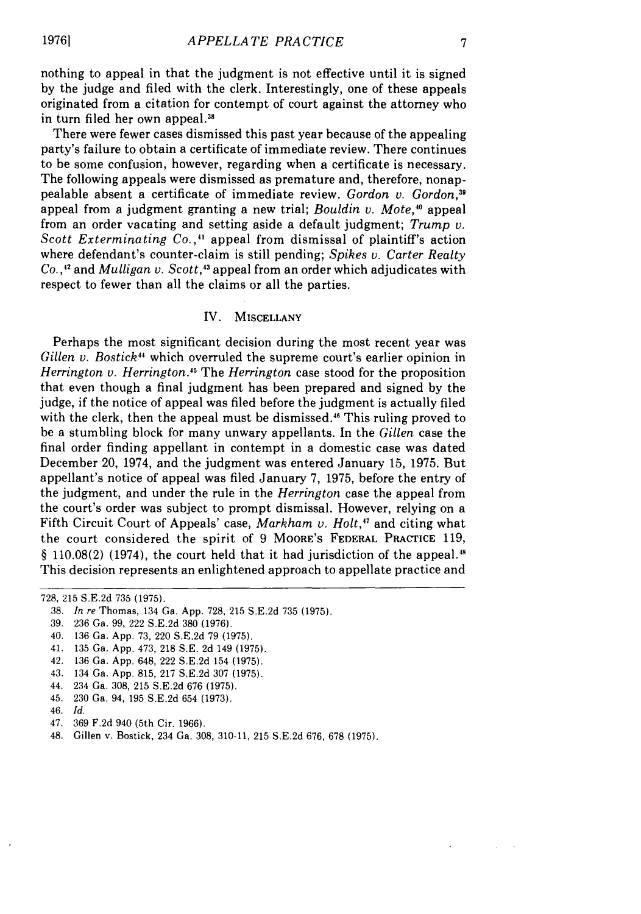nothing to appeal in that the judgment is not effective until it is signed by the judge and filed with the clerk. Interestingly, one of these appeals originated from a citation for contempt of court against the attorney who in turn filed her own appeal.<sup>38</sup>

There were fewer cases dismissed this past year because of the appealing party's failure to obtain a certificate of immediate review. There continues to be some confusion, however, regarding when a certificate is necessary. The following appeals were dismissed as premature and, therefore, nonappealable absent a certificate of immediate review. *Gordon v. Gordon,39* appeal from a judgment granting a new trial; *Bouldin v. Mote,"0* appeal from an order vacating and setting aside a default judgment; *Trump v. Scott Exterminating Co.,4* appeal from dismissal of plaintiff's action where defendant's counter-claim is still pending; *Spikes v. Carter Realty Co.* **,"2** and *Mulligan v. Scott, <sup>3</sup>*appeal from an order which adjudicates with respect to fewer than all the claims or all the parties.

### IV. MISCELLANY

Perhaps the most significant decision during the most recent year was *Gillen v. Bostick44* which overruled the supreme court's earlier opinion in *Herrington v. Herrington."* The *Herrington* case stood for the proposition that even though a final judgment has been prepared and signed by the judge, if the notice of appeal was filed before the judgment is actually filed with the clerk, then the appeal must be dismissed.<sup>46</sup> This ruling proved to be a stumbling block for many unwary appellants. In the *Gillen* case the final order finding appellant in contempt in a domestic case was dated December 20, 1974, and the judgment was entered January 15, 1975. But appellant's notice of appeal was filed January 7, 1975, before the entry of the judgment, and under the rule in the *Herrington* case the appeal from the court's order was subject to prompt dismissal. However, relying on a Fifth Circuit Court of Appeals' case, *Markham v. Holt*,<sup>47</sup> and citing what the court considered the spirit of 9 MOORE'S FEDERAL PRACTICE 119,  $\S$  110.08(2) (1974), the court held that it had jurisdiction of the appeal.<sup>48</sup> This decision represents an enlightened approach to appellate practice and

- 43. 134 Ga. App. 815, 217 S.E.2d 307 (1975).
- 44. 234 Ga. 308, 215 S.E.2d 676 (1975).
- 45. 230 Ga. 94, 195 S.E.2d 654 (1973).
- 46. *Id.*
- 47. 369 F.2d 940 (5th Cir. 1966).

<sup>728, 215</sup> S.E.2d 735 (1975).

<sup>38.</sup> *In re* Thomas, 134 Ga. App. 728, 215 S.E.2d 735 (1975).

<sup>39. 236</sup> Ga. 99, 222 S.E.2d 380 (1976).

<sup>40. 136</sup> Ga. App. 73, 220 S.E.2d 79 (1975).

<sup>41. 135</sup> Ga. App. 473, 218 S.E. 2d 149 (1975).

<sup>42. 136</sup> Ga. App. 648, 222 S.E.2d 154 (1975).

<sup>48.</sup> Gillen v. Bostick, 234 Ga. 308, 310-11. 215 S.E.2d 676, 678 (1975).